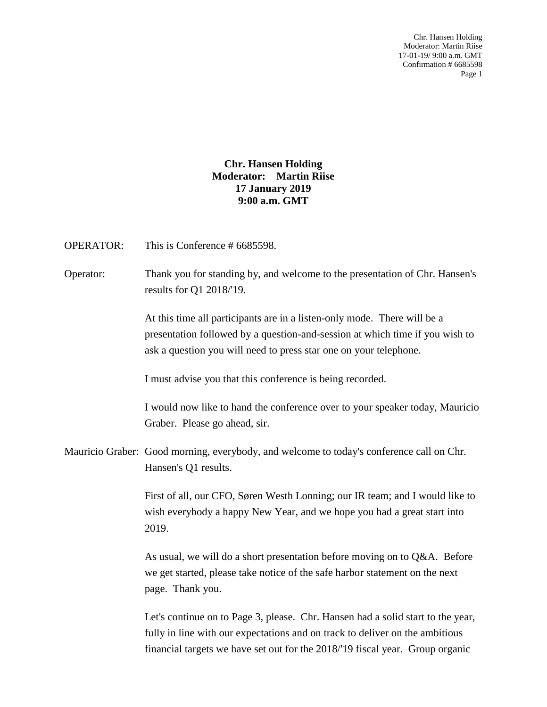Chr. Hansen Holding Moderator: Martin Riise 17-01-19/ 9:00 a.m. GMT Confirmation # 6685598 Page 1

**Chr. Hansen Holding Moderator: Martin Riise 17 January 2019 9:00 a.m. GMT**

OPERATOR: This is Conference # 6685598.

Operator: Thank you for standing by, and welcome to the presentation of Chr. Hansen's results for Q1 2018/'19.

> At this time all participants are in a listen-only mode. There will be a presentation followed by a question-and-session at which time if you wish to ask a question you will need to press star one on your telephone.

I must advise you that this conference is being recorded.

I would now like to hand the conference over to your speaker today, Mauricio Graber. Please go ahead, sir.

Mauricio Graber: Good morning, everybody, and welcome to today's conference call on Chr. Hansen's Q1 results.

> First of all, our CFO, Søren Westh Lonning; our IR team; and I would like to wish everybody a happy New Year, and we hope you had a great start into 2019.

As usual, we will do a short presentation before moving on to Q&A. Before we get started, please take notice of the safe harbor statement on the next page. Thank you.

Let's continue on to Page 3, please. Chr. Hansen had a solid start to the year, fully in line with our expectations and on track to deliver on the ambitious financial targets we have set out for the 2018/'19 fiscal year. Group organic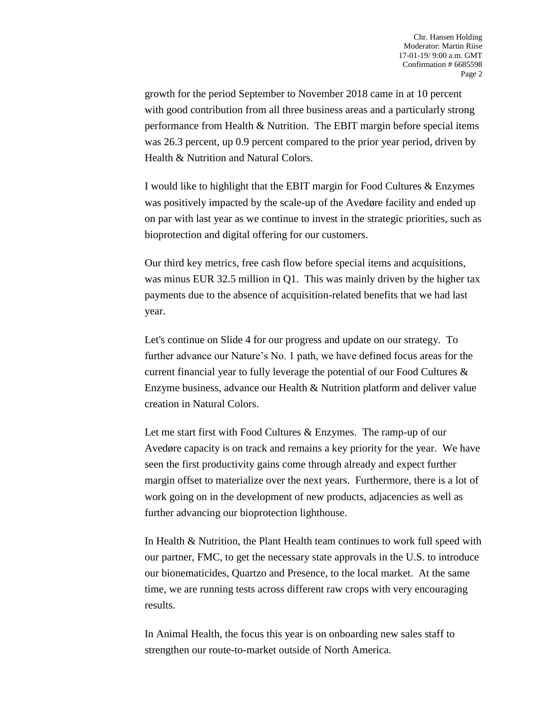growth for the period September to November 2018 came in at 10 percent with good contribution from all three business areas and a particularly strong performance from Health & Nutrition. The EBIT margin before special items was 26.3 percent, up 0.9 percent compared to the prior year period, driven by Health & Nutrition and Natural Colors.

I would like to highlight that the EBIT margin for Food Cultures & Enzymes was positively impacted by the scale-up of the Avedøre facility and ended up on par with last year as we continue to invest in the strategic priorities, such as bioprotection and digital offering for our customers.

Our third key metrics, free cash flow before special items and acquisitions, was minus EUR 32.5 million in Q1. This was mainly driven by the higher tax payments due to the absence of acquisition-related benefits that we had last year.

Let's continue on Slide 4 for our progress and update on our strategy. To further advance our Nature's No. 1 path, we have defined focus areas for the current financial year to fully leverage the potential of our Food Cultures & Enzyme business, advance our Health & Nutrition platform and deliver value creation in Natural Colors.

Let me start first with Food Cultures & Enzymes. The ramp-up of our Avedøre capacity is on track and remains a key priority for the year. We have seen the first productivity gains come through already and expect further margin offset to materialize over the next years. Furthermore, there is a lot of work going on in the development of new products, adjacencies as well as further advancing our bioprotection lighthouse.

In Health & Nutrition, the Plant Health team continues to work full speed with our partner, FMC, to get the necessary state approvals in the U.S. to introduce our bionematicides, Quartzo and Presence, to the local market. At the same time, we are running tests across different raw crops with very encouraging results.

In Animal Health, the focus this year is on onboarding new sales staff to strengthen our route-to-market outside of North America.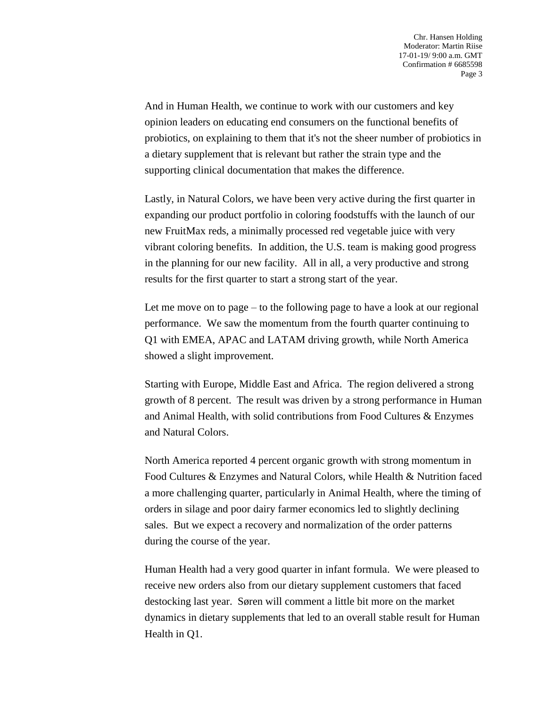And in Human Health, we continue to work with our customers and key opinion leaders on educating end consumers on the functional benefits of probiotics, on explaining to them that it's not the sheer number of probiotics in a dietary supplement that is relevant but rather the strain type and the supporting clinical documentation that makes the difference.

Lastly, in Natural Colors, we have been very active during the first quarter in expanding our product portfolio in coloring foodstuffs with the launch of our new FruitMax reds, a minimally processed red vegetable juice with very vibrant coloring benefits. In addition, the U.S. team is making good progress in the planning for our new facility. All in all, a very productive and strong results for the first quarter to start a strong start of the year.

Let me move on to page – to the following page to have a look at our regional performance. We saw the momentum from the fourth quarter continuing to Q1 with EMEA, APAC and LATAM driving growth, while North America showed a slight improvement.

Starting with Europe, Middle East and Africa. The region delivered a strong growth of 8 percent. The result was driven by a strong performance in Human and Animal Health, with solid contributions from Food Cultures & Enzymes and Natural Colors.

North America reported 4 percent organic growth with strong momentum in Food Cultures & Enzymes and Natural Colors, while Health & Nutrition faced a more challenging quarter, particularly in Animal Health, where the timing of orders in silage and poor dairy farmer economics led to slightly declining sales. But we expect a recovery and normalization of the order patterns during the course of the year.

Human Health had a very good quarter in infant formula. We were pleased to receive new orders also from our dietary supplement customers that faced destocking last year. Søren will comment a little bit more on the market dynamics in dietary supplements that led to an overall stable result for Human Health in Q1.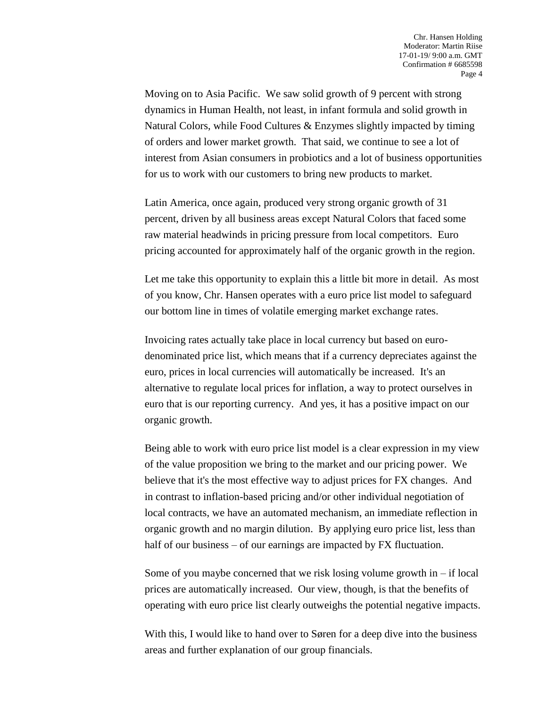Moving on to Asia Pacific. We saw solid growth of 9 percent with strong dynamics in Human Health, not least, in infant formula and solid growth in Natural Colors, while Food Cultures & Enzymes slightly impacted by timing of orders and lower market growth. That said, we continue to see a lot of interest from Asian consumers in probiotics and a lot of business opportunities for us to work with our customers to bring new products to market.

Latin America, once again, produced very strong organic growth of 31 percent, driven by all business areas except Natural Colors that faced some raw material headwinds in pricing pressure from local competitors. Euro pricing accounted for approximately half of the organic growth in the region.

Let me take this opportunity to explain this a little bit more in detail. As most of you know, Chr. Hansen operates with a euro price list model to safeguard our bottom line in times of volatile emerging market exchange rates.

Invoicing rates actually take place in local currency but based on eurodenominated price list, which means that if a currency depreciates against the euro, prices in local currencies will automatically be increased. It's an alternative to regulate local prices for inflation, a way to protect ourselves in euro that is our reporting currency. And yes, it has a positive impact on our organic growth.

Being able to work with euro price list model is a clear expression in my view of the value proposition we bring to the market and our pricing power. We believe that it's the most effective way to adjust prices for FX changes. And in contrast to inflation-based pricing and/or other individual negotiation of local contracts, we have an automated mechanism, an immediate reflection in organic growth and no margin dilution. By applying euro price list, less than half of our business – of our earnings are impacted by FX fluctuation.

Some of you maybe concerned that we risk losing volume growth in – if local prices are automatically increased. Our view, though, is that the benefits of operating with euro price list clearly outweighs the potential negative impacts.

With this, I would like to hand over to Søren for a deep dive into the business areas and further explanation of our group financials.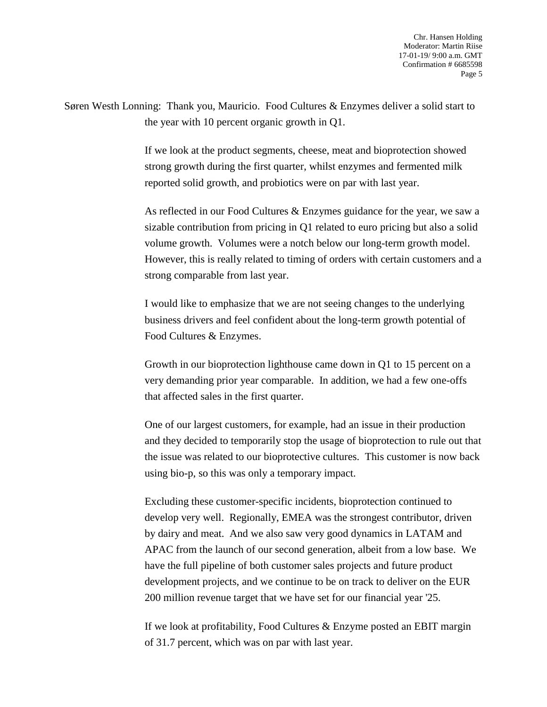Søren Westh Lonning: Thank you, Mauricio. Food Cultures & Enzymes deliver a solid start to the year with 10 percent organic growth in Q1.

> If we look at the product segments, cheese, meat and bioprotection showed strong growth during the first quarter, whilst enzymes and fermented milk reported solid growth, and probiotics were on par with last year.

As reflected in our Food Cultures & Enzymes guidance for the year, we saw a sizable contribution from pricing in Q1 related to euro pricing but also a solid volume growth. Volumes were a notch below our long-term growth model. However, this is really related to timing of orders with certain customers and a strong comparable from last year.

I would like to emphasize that we are not seeing changes to the underlying business drivers and feel confident about the long-term growth potential of Food Cultures & Enzymes.

Growth in our bioprotection lighthouse came down in Q1 to 15 percent on a very demanding prior year comparable. In addition, we had a few one-offs that affected sales in the first quarter.

One of our largest customers, for example, had an issue in their production and they decided to temporarily stop the usage of bioprotection to rule out that the issue was related to our bioprotective cultures. This customer is now back using bio-p, so this was only a temporary impact.

Excluding these customer-specific incidents, bioprotection continued to develop very well. Regionally, EMEA was the strongest contributor, driven by dairy and meat. And we also saw very good dynamics in LATAM and APAC from the launch of our second generation, albeit from a low base. We have the full pipeline of both customer sales projects and future product development projects, and we continue to be on track to deliver on the EUR 200 million revenue target that we have set for our financial year '25.

If we look at profitability, Food Cultures & Enzyme posted an EBIT margin of 31.7 percent, which was on par with last year.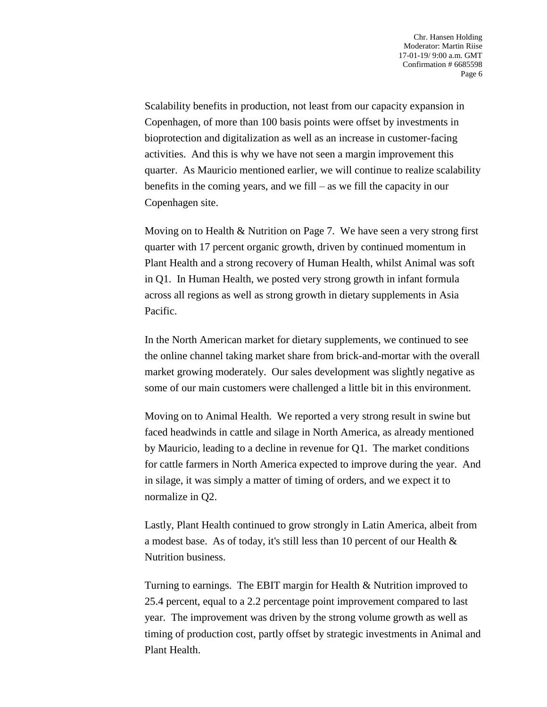Scalability benefits in production, not least from our capacity expansion in Copenhagen, of more than 100 basis points were offset by investments in bioprotection and digitalization as well as an increase in customer-facing activities. And this is why we have not seen a margin improvement this quarter. As Mauricio mentioned earlier, we will continue to realize scalability benefits in the coming years, and we fill – as we fill the capacity in our Copenhagen site.

Moving on to Health & Nutrition on Page 7. We have seen a very strong first quarter with 17 percent organic growth, driven by continued momentum in Plant Health and a strong recovery of Human Health, whilst Animal was soft in Q1. In Human Health, we posted very strong growth in infant formula across all regions as well as strong growth in dietary supplements in Asia Pacific.

In the North American market for dietary supplements, we continued to see the online channel taking market share from brick-and-mortar with the overall market growing moderately. Our sales development was slightly negative as some of our main customers were challenged a little bit in this environment.

Moving on to Animal Health. We reported a very strong result in swine but faced headwinds in cattle and silage in North America, as already mentioned by Mauricio, leading to a decline in revenue for Q1. The market conditions for cattle farmers in North America expected to improve during the year. And in silage, it was simply a matter of timing of orders, and we expect it to normalize in Q2.

Lastly, Plant Health continued to grow strongly in Latin America, albeit from a modest base. As of today, it's still less than 10 percent of our Health & Nutrition business.

Turning to earnings. The EBIT margin for Health & Nutrition improved to 25.4 percent, equal to a 2.2 percentage point improvement compared to last year. The improvement was driven by the strong volume growth as well as timing of production cost, partly offset by strategic investments in Animal and Plant Health.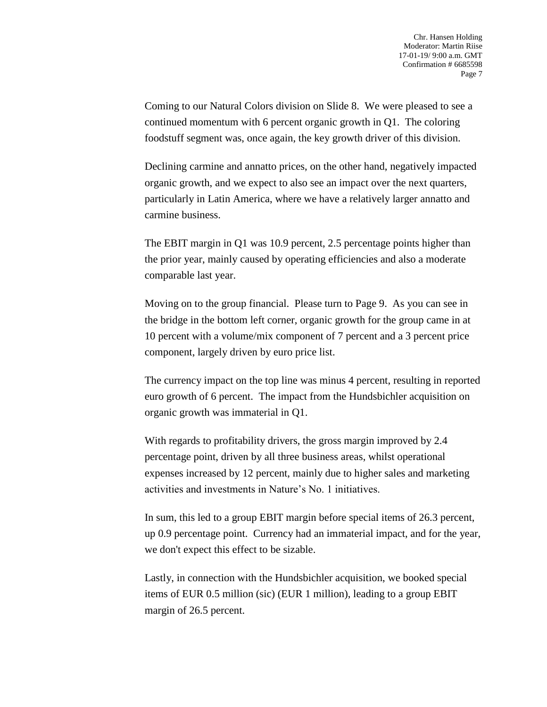Coming to our Natural Colors division on Slide 8. We were pleased to see a continued momentum with 6 percent organic growth in Q1. The coloring foodstuff segment was, once again, the key growth driver of this division.

Declining carmine and annatto prices, on the other hand, negatively impacted organic growth, and we expect to also see an impact over the next quarters, particularly in Latin America, where we have a relatively larger annatto and carmine business.

The EBIT margin in Q1 was 10.9 percent, 2.5 percentage points higher than the prior year, mainly caused by operating efficiencies and also a moderate comparable last year.

Moving on to the group financial. Please turn to Page 9. As you can see in the bridge in the bottom left corner, organic growth for the group came in at 10 percent with a volume/mix component of 7 percent and a 3 percent price component, largely driven by euro price list.

The currency impact on the top line was minus 4 percent, resulting in reported euro growth of 6 percent. The impact from the Hundsbichler acquisition on organic growth was immaterial in Q1.

With regards to profitability drivers, the gross margin improved by 2.4 percentage point, driven by all three business areas, whilst operational expenses increased by 12 percent, mainly due to higher sales and marketing activities and investments in Nature's No. 1 initiatives.

In sum, this led to a group EBIT margin before special items of 26.3 percent, up 0.9 percentage point. Currency had an immaterial impact, and for the year, we don't expect this effect to be sizable.

Lastly, in connection with the Hundsbichler acquisition, we booked special items of EUR 0.5 million (sic) (EUR 1 million), leading to a group EBIT margin of 26.5 percent.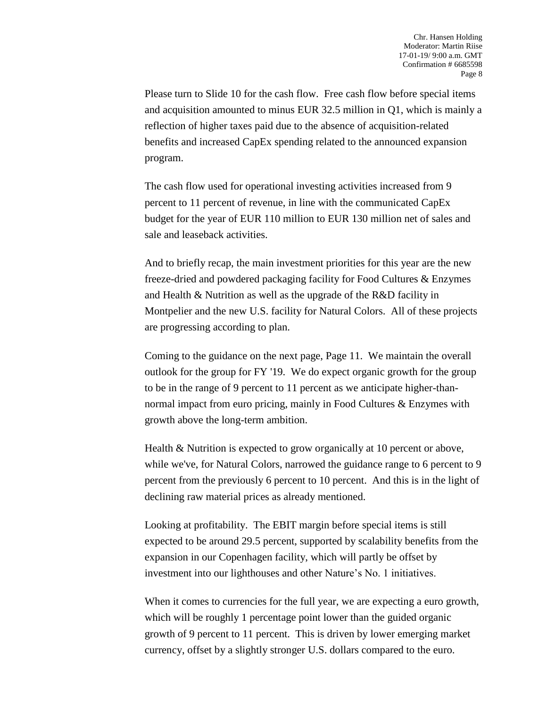Please turn to Slide 10 for the cash flow. Free cash flow before special items and acquisition amounted to minus EUR 32.5 million in Q1, which is mainly a reflection of higher taxes paid due to the absence of acquisition-related benefits and increased CapEx spending related to the announced expansion program.

The cash flow used for operational investing activities increased from 9 percent to 11 percent of revenue, in line with the communicated CapEx budget for the year of EUR 110 million to EUR 130 million net of sales and sale and leaseback activities.

And to briefly recap, the main investment priorities for this year are the new freeze-dried and powdered packaging facility for Food Cultures & Enzymes and Health & Nutrition as well as the upgrade of the R&D facility in Montpelier and the new U.S. facility for Natural Colors. All of these projects are progressing according to plan.

Coming to the guidance on the next page, Page 11. We maintain the overall outlook for the group for FY '19. We do expect organic growth for the group to be in the range of 9 percent to 11 percent as we anticipate higher-thannormal impact from euro pricing, mainly in Food Cultures & Enzymes with growth above the long-term ambition.

Health & Nutrition is expected to grow organically at 10 percent or above, while we've, for Natural Colors, narrowed the guidance range to 6 percent to 9 percent from the previously 6 percent to 10 percent. And this is in the light of declining raw material prices as already mentioned.

Looking at profitability. The EBIT margin before special items is still expected to be around 29.5 percent, supported by scalability benefits from the expansion in our Copenhagen facility, which will partly be offset by investment into our lighthouses and other Nature's No. 1 initiatives.

When it comes to currencies for the full year, we are expecting a euro growth, which will be roughly 1 percentage point lower than the guided organic growth of 9 percent to 11 percent. This is driven by lower emerging market currency, offset by a slightly stronger U.S. dollars compared to the euro.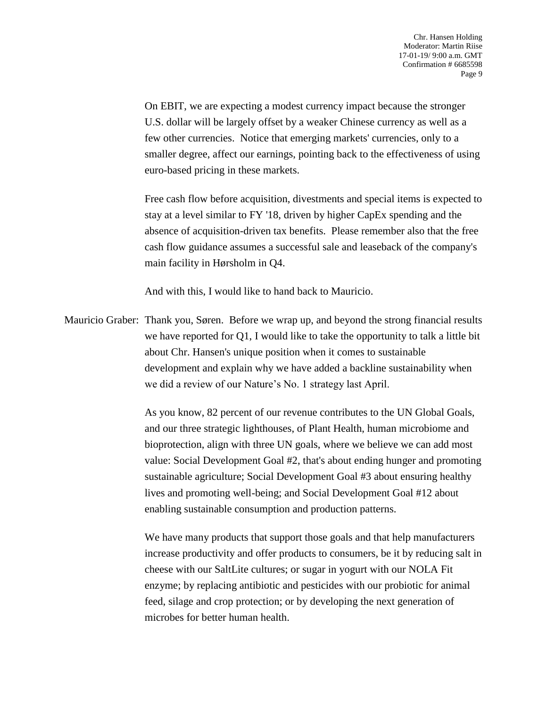On EBIT, we are expecting a modest currency impact because the stronger U.S. dollar will be largely offset by a weaker Chinese currency as well as a few other currencies. Notice that emerging markets' currencies, only to a smaller degree, affect our earnings, pointing back to the effectiveness of using euro-based pricing in these markets.

Free cash flow before acquisition, divestments and special items is expected to stay at a level similar to FY '18, driven by higher CapEx spending and the absence of acquisition-driven tax benefits. Please remember also that the free cash flow guidance assumes a successful sale and leaseback of the company's main facility in Hørsholm in Q4.

And with this, I would like to hand back to Mauricio.

Mauricio Graber: Thank you, Søren. Before we wrap up, and beyond the strong financial results we have reported for Q1, I would like to take the opportunity to talk a little bit about Chr. Hansen's unique position when it comes to sustainable development and explain why we have added a backline sustainability when we did a review of our Nature's No. 1 strategy last April.

> As you know, 82 percent of our revenue contributes to the UN Global Goals, and our three strategic lighthouses, of Plant Health, human microbiome and bioprotection, align with three UN goals, where we believe we can add most value: Social Development Goal #2, that's about ending hunger and promoting sustainable agriculture; Social Development Goal #3 about ensuring healthy lives and promoting well-being; and Social Development Goal #12 about enabling sustainable consumption and production patterns.

> We have many products that support those goals and that help manufacturers increase productivity and offer products to consumers, be it by reducing salt in cheese with our SaltLite cultures; or sugar in yogurt with our NOLA Fit enzyme; by replacing antibiotic and pesticides with our probiotic for animal feed, silage and crop protection; or by developing the next generation of microbes for better human health.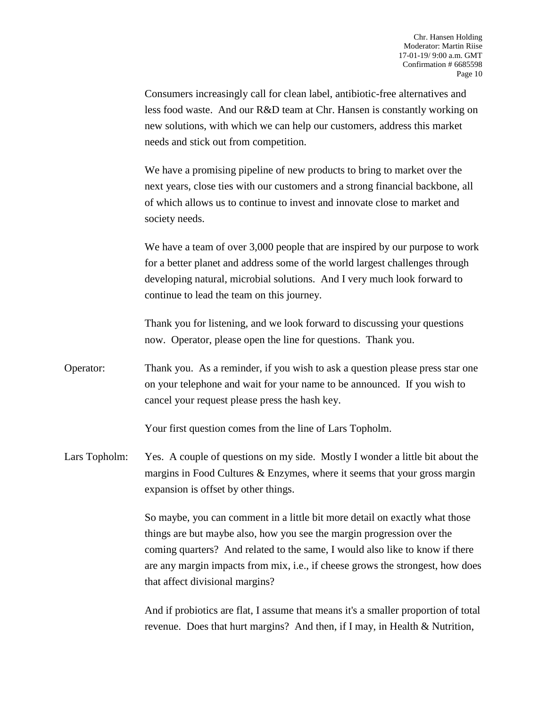Consumers increasingly call for clean label, antibiotic-free alternatives and less food waste. And our R&D team at Chr. Hansen is constantly working on new solutions, with which we can help our customers, address this market needs and stick out from competition.

We have a promising pipeline of new products to bring to market over the next years, close ties with our customers and a strong financial backbone, all of which allows us to continue to invest and innovate close to market and society needs.

We have a team of over 3,000 people that are inspired by our purpose to work for a better planet and address some of the world largest challenges through developing natural, microbial solutions. And I very much look forward to continue to lead the team on this journey.

Thank you for listening, and we look forward to discussing your questions now. Operator, please open the line for questions. Thank you.

Operator: Thank you. As a reminder, if you wish to ask a question please press star one on your telephone and wait for your name to be announced. If you wish to cancel your request please press the hash key.

Your first question comes from the line of Lars Topholm.

Lars Topholm: Yes. A couple of questions on my side. Mostly I wonder a little bit about the margins in Food Cultures & Enzymes, where it seems that your gross margin expansion is offset by other things.

> So maybe, you can comment in a little bit more detail on exactly what those things are but maybe also, how you see the margin progression over the coming quarters? And related to the same, I would also like to know if there are any margin impacts from mix, i.e., if cheese grows the strongest, how does that affect divisional margins?

> And if probiotics are flat, I assume that means it's a smaller proportion of total revenue. Does that hurt margins? And then, if I may, in Health & Nutrition,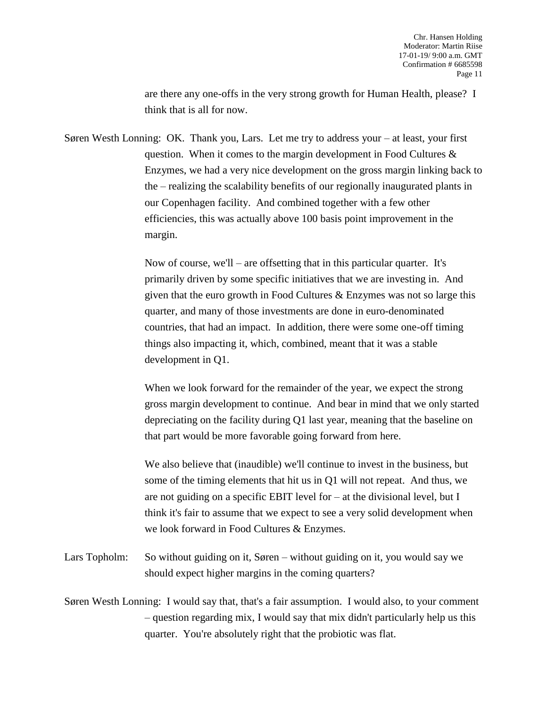are there any one-offs in the very strong growth for Human Health, please? I think that is all for now.

Søren Westh Lonning: OK. Thank you, Lars. Let me try to address your – at least, your first question. When it comes to the margin development in Food Cultures & Enzymes, we had a very nice development on the gross margin linking back to the – realizing the scalability benefits of our regionally inaugurated plants in our Copenhagen facility. And combined together with a few other efficiencies, this was actually above 100 basis point improvement in the margin.

> Now of course, we'll – are offsetting that in this particular quarter. It's primarily driven by some specific initiatives that we are investing in. And given that the euro growth in Food Cultures & Enzymes was not so large this quarter, and many of those investments are done in euro-denominated countries, that had an impact. In addition, there were some one-off timing things also impacting it, which, combined, meant that it was a stable development in Q1.

> When we look forward for the remainder of the year, we expect the strong gross margin development to continue. And bear in mind that we only started depreciating on the facility during Q1 last year, meaning that the baseline on that part would be more favorable going forward from here.

We also believe that (inaudible) we'll continue to invest in the business, but some of the timing elements that hit us in Q1 will not repeat. And thus, we are not guiding on a specific EBIT level for – at the divisional level, but I think it's fair to assume that we expect to see a very solid development when we look forward in Food Cultures & Enzymes.

Lars Topholm: So without guiding on it, Søren – without guiding on it, you would say we should expect higher margins in the coming quarters?

Søren Westh Lonning: I would say that, that's a fair assumption. I would also, to your comment – question regarding mix, I would say that mix didn't particularly help us this quarter. You're absolutely right that the probiotic was flat.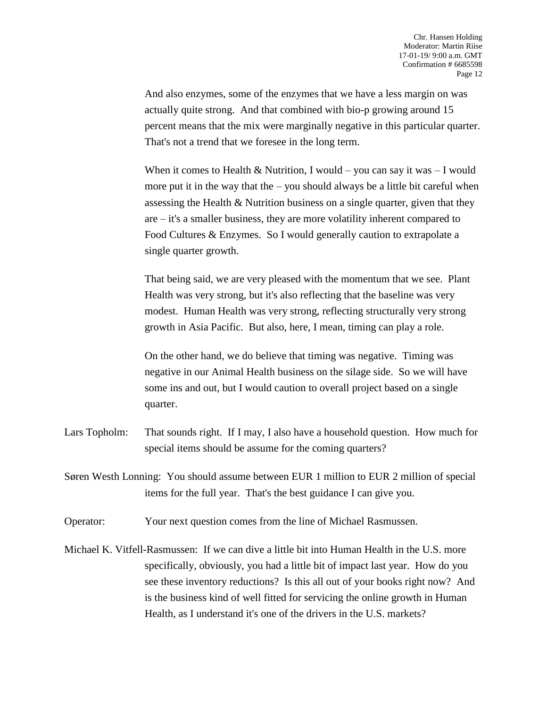And also enzymes, some of the enzymes that we have a less margin on was actually quite strong. And that combined with bio-p growing around 15 percent means that the mix were marginally negative in this particular quarter. That's not a trend that we foresee in the long term.

When it comes to Health & Nutrition, I would – you can say it was – I would more put it in the way that the – you should always be a little bit careful when assessing the Health & Nutrition business on a single quarter, given that they are – it's a smaller business, they are more volatility inherent compared to Food Cultures & Enzymes. So I would generally caution to extrapolate a single quarter growth.

That being said, we are very pleased with the momentum that we see. Plant Health was very strong, but it's also reflecting that the baseline was very modest. Human Health was very strong, reflecting structurally very strong growth in Asia Pacific. But also, here, I mean, timing can play a role.

On the other hand, we do believe that timing was negative. Timing was negative in our Animal Health business on the silage side. So we will have some ins and out, but I would caution to overall project based on a single quarter.

- Lars Topholm: That sounds right. If I may, I also have a household question. How much for special items should be assume for the coming quarters?
- Søren Westh Lonning: You should assume between EUR 1 million to EUR 2 million of special items for the full year. That's the best guidance I can give you.
- Operator: Your next question comes from the line of Michael Rasmussen.
- Michael K. Vitfell-Rasmussen: If we can dive a little bit into Human Health in the U.S. more specifically, obviously, you had a little bit of impact last year. How do you see these inventory reductions? Is this all out of your books right now? And is the business kind of well fitted for servicing the online growth in Human Health, as I understand it's one of the drivers in the U.S. markets?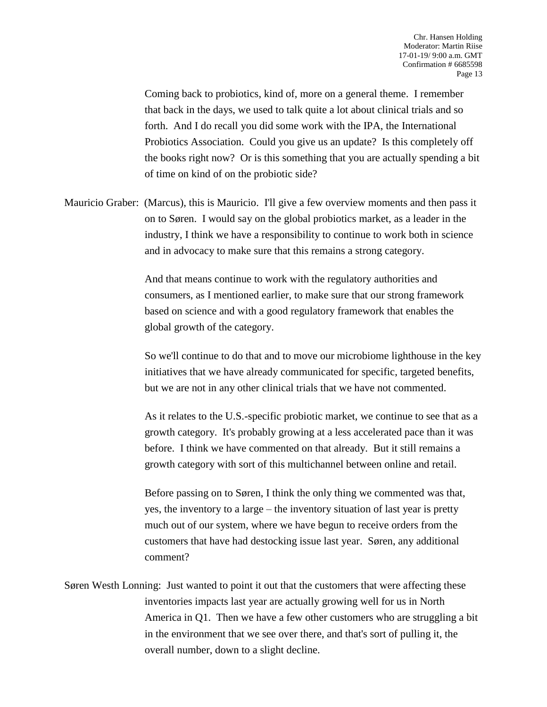Coming back to probiotics, kind of, more on a general theme. I remember that back in the days, we used to talk quite a lot about clinical trials and so forth. And I do recall you did some work with the IPA, the International Probiotics Association. Could you give us an update? Is this completely off the books right now? Or is this something that you are actually spending a bit of time on kind of on the probiotic side?

Mauricio Graber: (Marcus), this is Mauricio. I'll give a few overview moments and then pass it on to Søren. I would say on the global probiotics market, as a leader in the industry, I think we have a responsibility to continue to work both in science and in advocacy to make sure that this remains a strong category.

> And that means continue to work with the regulatory authorities and consumers, as I mentioned earlier, to make sure that our strong framework based on science and with a good regulatory framework that enables the global growth of the category.

So we'll continue to do that and to move our microbiome lighthouse in the key initiatives that we have already communicated for specific, targeted benefits, but we are not in any other clinical trials that we have not commented.

As it relates to the U.S.-specific probiotic market, we continue to see that as a growth category. It's probably growing at a less accelerated pace than it was before. I think we have commented on that already. But it still remains a growth category with sort of this multichannel between online and retail.

Before passing on to Søren, I think the only thing we commented was that, yes, the inventory to a large – the inventory situation of last year is pretty much out of our system, where we have begun to receive orders from the customers that have had destocking issue last year. Søren, any additional comment?

Søren Westh Lonning: Just wanted to point it out that the customers that were affecting these inventories impacts last year are actually growing well for us in North America in Q1. Then we have a few other customers who are struggling a bit in the environment that we see over there, and that's sort of pulling it, the overall number, down to a slight decline.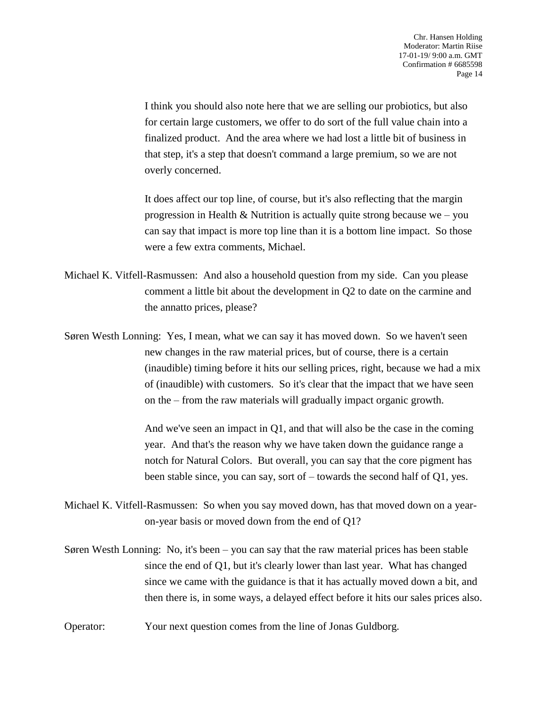I think you should also note here that we are selling our probiotics, but also for certain large customers, we offer to do sort of the full value chain into a finalized product. And the area where we had lost a little bit of business in that step, it's a step that doesn't command a large premium, so we are not overly concerned.

It does affect our top line, of course, but it's also reflecting that the margin progression in Health & Nutrition is actually quite strong because we – you can say that impact is more top line than it is a bottom line impact. So those were a few extra comments, Michael.

Michael K. Vitfell-Rasmussen: And also a household question from my side. Can you please comment a little bit about the development in Q2 to date on the carmine and the annatto prices, please?

Søren Westh Lonning: Yes, I mean, what we can say it has moved down. So we haven't seen new changes in the raw material prices, but of course, there is a certain (inaudible) timing before it hits our selling prices, right, because we had a mix of (inaudible) with customers. So it's clear that the impact that we have seen on the – from the raw materials will gradually impact organic growth.

> And we've seen an impact in Q1, and that will also be the case in the coming year. And that's the reason why we have taken down the guidance range a notch for Natural Colors. But overall, you can say that the core pigment has been stable since, you can say, sort of – towards the second half of Q1, yes.

- Michael K. Vitfell-Rasmussen: So when you say moved down, has that moved down on a yearon-year basis or moved down from the end of Q1?
- Søren Westh Lonning: No, it's been you can say that the raw material prices has been stable since the end of Q1, but it's clearly lower than last year. What has changed since we came with the guidance is that it has actually moved down a bit, and then there is, in some ways, a delayed effect before it hits our sales prices also.
- Operator: Your next question comes from the line of Jonas Guldborg.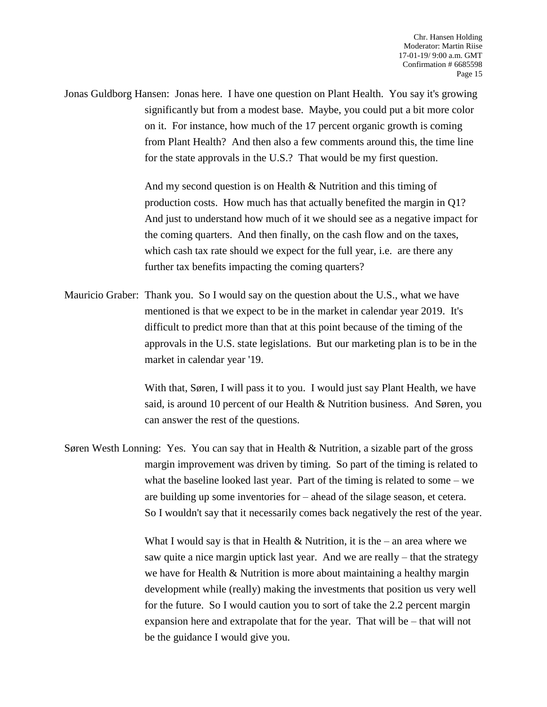Jonas Guldborg Hansen: Jonas here. I have one question on Plant Health. You say it's growing significantly but from a modest base. Maybe, you could put a bit more color on it. For instance, how much of the 17 percent organic growth is coming from Plant Health? And then also a few comments around this, the time line for the state approvals in the U.S.? That would be my first question.

> And my second question is on Health & Nutrition and this timing of production costs. How much has that actually benefited the margin in Q1? And just to understand how much of it we should see as a negative impact for the coming quarters. And then finally, on the cash flow and on the taxes, which cash tax rate should we expect for the full year, i.e. are there any further tax benefits impacting the coming quarters?

Mauricio Graber: Thank you. So I would say on the question about the U.S., what we have mentioned is that we expect to be in the market in calendar year 2019. It's difficult to predict more than that at this point because of the timing of the approvals in the U.S. state legislations. But our marketing plan is to be in the market in calendar year '19.

> With that, Søren, I will pass it to you. I would just say Plant Health, we have said, is around 10 percent of our Health & Nutrition business. And Søren, you can answer the rest of the questions.

Søren Westh Lonning: Yes. You can say that in Health & Nutrition, a sizable part of the gross margin improvement was driven by timing. So part of the timing is related to what the baseline looked last year. Part of the timing is related to some – we are building up some inventories for – ahead of the silage season, et cetera. So I wouldn't say that it necessarily comes back negatively the rest of the year.

> What I would say is that in Health  $\&$  Nutrition, it is the – an area where we saw quite a nice margin uptick last year. And we are really – that the strategy we have for Health & Nutrition is more about maintaining a healthy margin development while (really) making the investments that position us very well for the future. So I would caution you to sort of take the 2.2 percent margin expansion here and extrapolate that for the year. That will be – that will not be the guidance I would give you.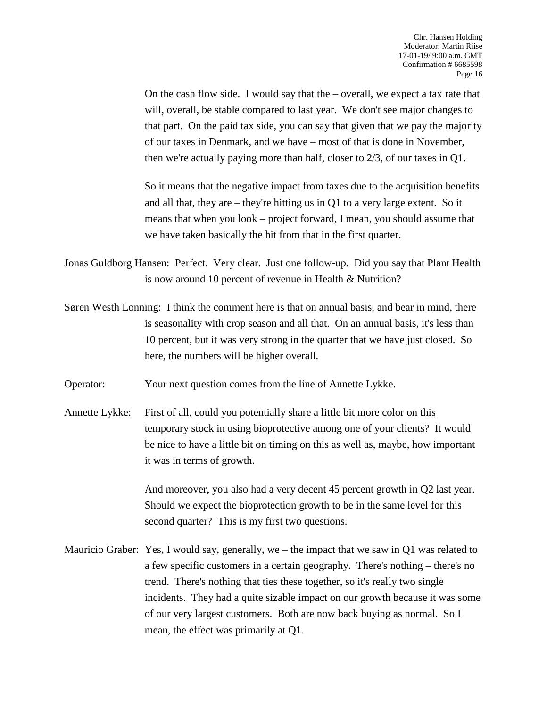On the cash flow side. I would say that the  $-$  overall, we expect a tax rate that will, overall, be stable compared to last year. We don't see major changes to that part. On the paid tax side, you can say that given that we pay the majority of our taxes in Denmark, and we have – most of that is done in November, then we're actually paying more than half, closer to  $2/3$ , of our taxes in O1.

So it means that the negative impact from taxes due to the acquisition benefits and all that, they are – they're hitting us in Q1 to a very large extent. So it means that when you look – project forward, I mean, you should assume that we have taken basically the hit from that in the first quarter.

Jonas Guldborg Hansen: Perfect. Very clear. Just one follow-up. Did you say that Plant Health is now around 10 percent of revenue in Health & Nutrition?

- Søren Westh Lonning: I think the comment here is that on annual basis, and bear in mind, there is seasonality with crop season and all that. On an annual basis, it's less than 10 percent, but it was very strong in the quarter that we have just closed. So here, the numbers will be higher overall.
- Operator: Your next question comes from the line of Annette Lykke.
- Annette Lykke: First of all, could you potentially share a little bit more color on this temporary stock in using bioprotective among one of your clients? It would be nice to have a little bit on timing on this as well as, maybe, how important it was in terms of growth.

And moreover, you also had a very decent 45 percent growth in Q2 last year. Should we expect the bioprotection growth to be in the same level for this second quarter? This is my first two questions.

Mauricio Graber: Yes, I would say, generally, we – the impact that we saw in Q1 was related to a few specific customers in a certain geography. There's nothing – there's no trend. There's nothing that ties these together, so it's really two single incidents. They had a quite sizable impact on our growth because it was some of our very largest customers. Both are now back buying as normal. So I mean, the effect was primarily at Q1.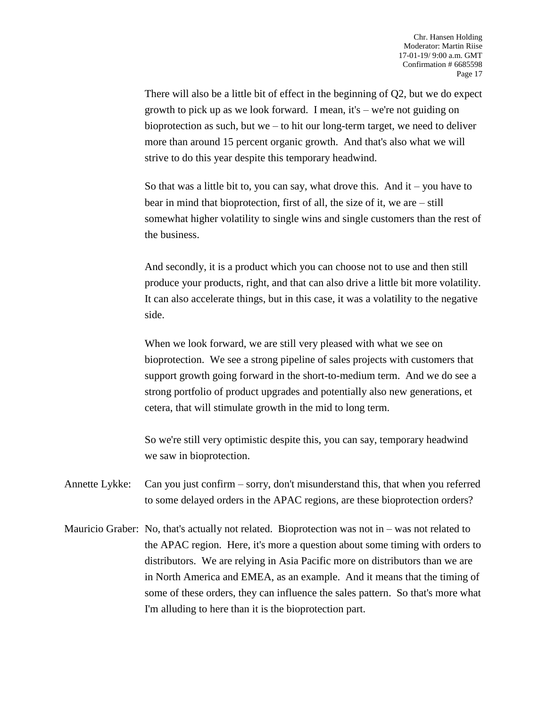There will also be a little bit of effect in the beginning of Q2, but we do expect growth to pick up as we look forward. I mean, it's – we're not guiding on bioprotection as such, but we – to hit our long-term target, we need to deliver more than around 15 percent organic growth. And that's also what we will strive to do this year despite this temporary headwind.

So that was a little bit to, you can say, what drove this. And it – you have to bear in mind that bioprotection, first of all, the size of it, we are – still somewhat higher volatility to single wins and single customers than the rest of the business.

And secondly, it is a product which you can choose not to use and then still produce your products, right, and that can also drive a little bit more volatility. It can also accelerate things, but in this case, it was a volatility to the negative side.

When we look forward, we are still very pleased with what we see on bioprotection. We see a strong pipeline of sales projects with customers that support growth going forward in the short-to-medium term. And we do see a strong portfolio of product upgrades and potentially also new generations, et cetera, that will stimulate growth in the mid to long term.

So we're still very optimistic despite this, you can say, temporary headwind we saw in bioprotection.

Annette Lykke: Can you just confirm – sorry, don't misunderstand this, that when you referred to some delayed orders in the APAC regions, are these bioprotection orders?

Mauricio Graber: No, that's actually not related. Bioprotection was not in – was not related to the APAC region. Here, it's more a question about some timing with orders to distributors. We are relying in Asia Pacific more on distributors than we are in North America and EMEA, as an example. And it means that the timing of some of these orders, they can influence the sales pattern. So that's more what I'm alluding to here than it is the bioprotection part.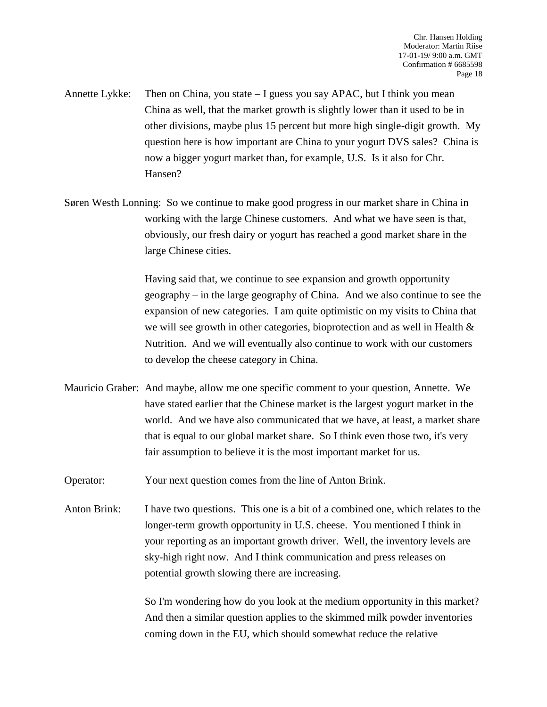Annette Lykke: Then on China, you state – I guess you say APAC, but I think you mean China as well, that the market growth is slightly lower than it used to be in other divisions, maybe plus 15 percent but more high single-digit growth. My question here is how important are China to your yogurt DVS sales? China is now a bigger yogurt market than, for example, U.S. Is it also for Chr. Hansen?

Søren Westh Lonning: So we continue to make good progress in our market share in China in working with the large Chinese customers. And what we have seen is that, obviously, our fresh dairy or yogurt has reached a good market share in the large Chinese cities.

> Having said that, we continue to see expansion and growth opportunity geography – in the large geography of China. And we also continue to see the expansion of new categories. I am quite optimistic on my visits to China that we will see growth in other categories, bioprotection and as well in Health  $\&$ Nutrition. And we will eventually also continue to work with our customers to develop the cheese category in China.

- Mauricio Graber: And maybe, allow me one specific comment to your question, Annette. We have stated earlier that the Chinese market is the largest yogurt market in the world. And we have also communicated that we have, at least, a market share that is equal to our global market share. So I think even those two, it's very fair assumption to believe it is the most important market for us.
- Operator: Your next question comes from the line of Anton Brink.
- Anton Brink: I have two questions. This one is a bit of a combined one, which relates to the longer-term growth opportunity in U.S. cheese. You mentioned I think in your reporting as an important growth driver. Well, the inventory levels are sky-high right now. And I think communication and press releases on potential growth slowing there are increasing.

So I'm wondering how do you look at the medium opportunity in this market? And then a similar question applies to the skimmed milk powder inventories coming down in the EU, which should somewhat reduce the relative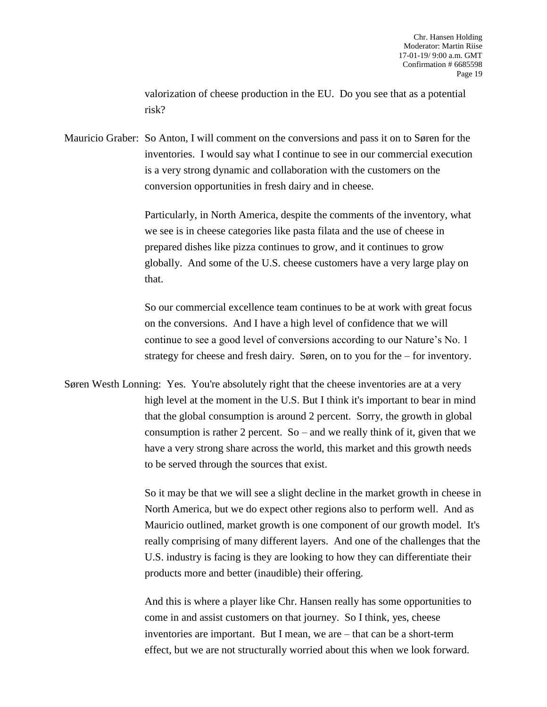valorization of cheese production in the EU. Do you see that as a potential risk?

Mauricio Graber: So Anton, I will comment on the conversions and pass it on to Søren for the inventories. I would say what I continue to see in our commercial execution is a very strong dynamic and collaboration with the customers on the conversion opportunities in fresh dairy and in cheese.

> Particularly, in North America, despite the comments of the inventory, what we see is in cheese categories like pasta filata and the use of cheese in prepared dishes like pizza continues to grow, and it continues to grow globally. And some of the U.S. cheese customers have a very large play on that.

> So our commercial excellence team continues to be at work with great focus on the conversions. And I have a high level of confidence that we will continue to see a good level of conversions according to our Nature's No. 1 strategy for cheese and fresh dairy. Søren, on to you for the – for inventory.

Søren Westh Lonning: Yes. You're absolutely right that the cheese inventories are at a very high level at the moment in the U.S. But I think it's important to bear in mind that the global consumption is around 2 percent. Sorry, the growth in global consumption is rather 2 percent. So – and we really think of it, given that we have a very strong share across the world, this market and this growth needs to be served through the sources that exist.

> So it may be that we will see a slight decline in the market growth in cheese in North America, but we do expect other regions also to perform well. And as Mauricio outlined, market growth is one component of our growth model. It's really comprising of many different layers. And one of the challenges that the U.S. industry is facing is they are looking to how they can differentiate their products more and better (inaudible) their offering.

And this is where a player like Chr. Hansen really has some opportunities to come in and assist customers on that journey. So I think, yes, cheese inventories are important. But I mean, we are – that can be a short-term effect, but we are not structurally worried about this when we look forward.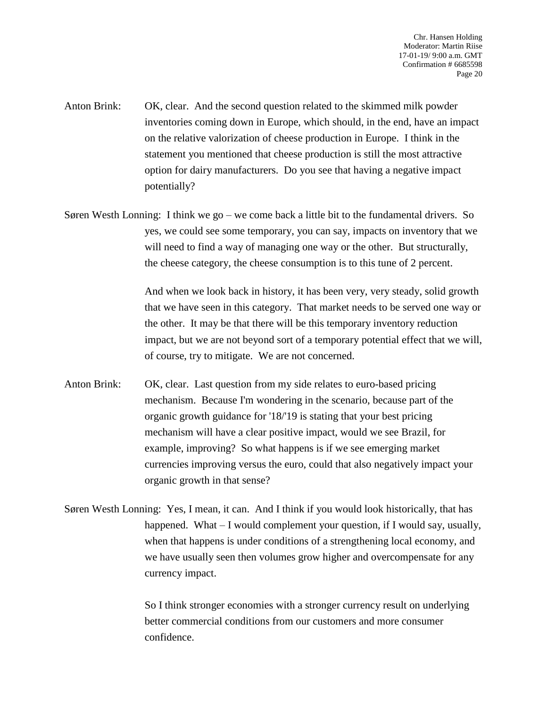- Anton Brink: OK, clear. And the second question related to the skimmed milk powder inventories coming down in Europe, which should, in the end, have an impact on the relative valorization of cheese production in Europe. I think in the statement you mentioned that cheese production is still the most attractive option for dairy manufacturers. Do you see that having a negative impact potentially?
- Søren Westh Lonning: I think we go we come back a little bit to the fundamental drivers. So yes, we could see some temporary, you can say, impacts on inventory that we will need to find a way of managing one way or the other. But structurally, the cheese category, the cheese consumption is to this tune of 2 percent.

And when we look back in history, it has been very, very steady, solid growth that we have seen in this category. That market needs to be served one way or the other. It may be that there will be this temporary inventory reduction impact, but we are not beyond sort of a temporary potential effect that we will, of course, try to mitigate. We are not concerned.

- Anton Brink: OK, clear. Last question from my side relates to euro-based pricing mechanism. Because I'm wondering in the scenario, because part of the organic growth guidance for '18/'19 is stating that your best pricing mechanism will have a clear positive impact, would we see Brazil, for example, improving? So what happens is if we see emerging market currencies improving versus the euro, could that also negatively impact your organic growth in that sense?
- Søren Westh Lonning: Yes, I mean, it can. And I think if you would look historically, that has happened. What – I would complement your question, if I would say, usually, when that happens is under conditions of a strengthening local economy, and we have usually seen then volumes grow higher and overcompensate for any currency impact.

So I think stronger economies with a stronger currency result on underlying better commercial conditions from our customers and more consumer confidence.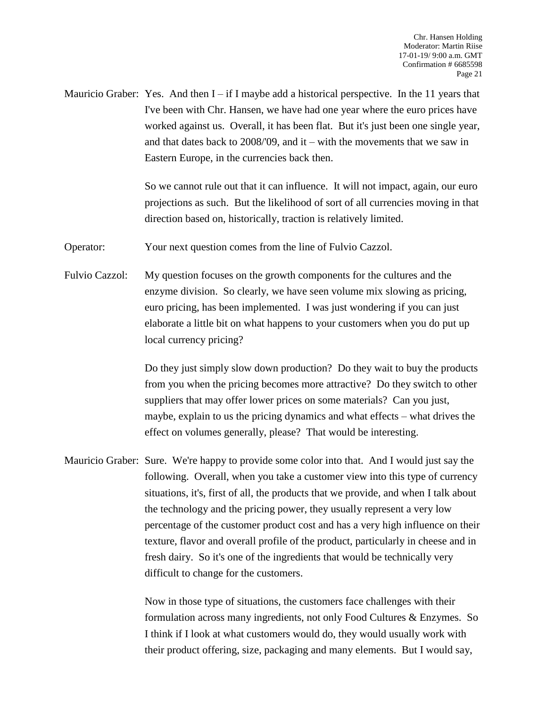Mauricio Graber: Yes. And then  $I - if I$  maybe add a historical perspective. In the 11 years that I've been with Chr. Hansen, we have had one year where the euro prices have worked against us. Overall, it has been flat. But it's just been one single year, and that dates back to 2008/'09, and it – with the movements that we saw in Eastern Europe, in the currencies back then.

> So we cannot rule out that it can influence. It will not impact, again, our euro projections as such. But the likelihood of sort of all currencies moving in that direction based on, historically, traction is relatively limited.

Operator: Your next question comes from the line of Fulvio Cazzol.

Fulvio Cazzol: My question focuses on the growth components for the cultures and the enzyme division. So clearly, we have seen volume mix slowing as pricing, euro pricing, has been implemented. I was just wondering if you can just elaborate a little bit on what happens to your customers when you do put up local currency pricing?

> Do they just simply slow down production? Do they wait to buy the products from you when the pricing becomes more attractive? Do they switch to other suppliers that may offer lower prices on some materials? Can you just, maybe, explain to us the pricing dynamics and what effects – what drives the effect on volumes generally, please? That would be interesting.

Mauricio Graber: Sure. We're happy to provide some color into that. And I would just say the following. Overall, when you take a customer view into this type of currency situations, it's, first of all, the products that we provide, and when I talk about the technology and the pricing power, they usually represent a very low percentage of the customer product cost and has a very high influence on their texture, flavor and overall profile of the product, particularly in cheese and in fresh dairy. So it's one of the ingredients that would be technically very difficult to change for the customers.

> Now in those type of situations, the customers face challenges with their formulation across many ingredients, not only Food Cultures & Enzymes. So I think if I look at what customers would do, they would usually work with their product offering, size, packaging and many elements. But I would say,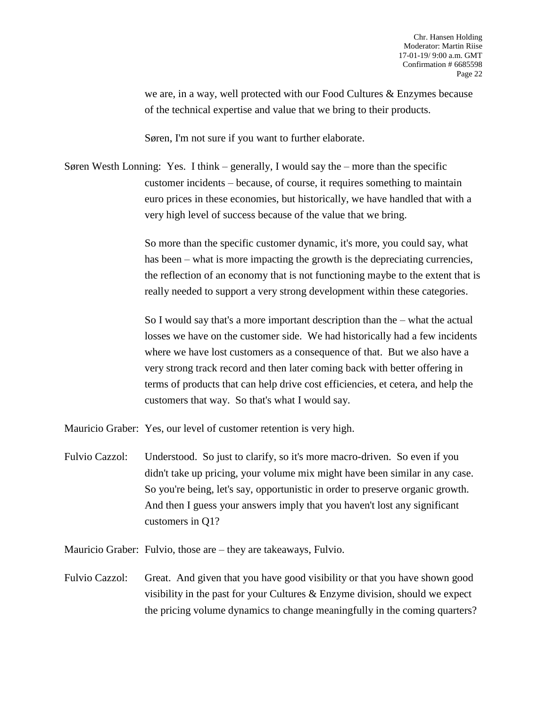we are, in a way, well protected with our Food Cultures & Enzymes because of the technical expertise and value that we bring to their products.

Søren, I'm not sure if you want to further elaborate.

Søren Westh Lonning: Yes. I think – generally, I would say the – more than the specific customer incidents – because, of course, it requires something to maintain euro prices in these economies, but historically, we have handled that with a very high level of success because of the value that we bring.

> So more than the specific customer dynamic, it's more, you could say, what has been – what is more impacting the growth is the depreciating currencies, the reflection of an economy that is not functioning maybe to the extent that is really needed to support a very strong development within these categories.

> So I would say that's a more important description than the – what the actual losses we have on the customer side. We had historically had a few incidents where we have lost customers as a consequence of that. But we also have a very strong track record and then later coming back with better offering in terms of products that can help drive cost efficiencies, et cetera, and help the customers that way. So that's what I would say.

Mauricio Graber: Yes, our level of customer retention is very high.

Fulvio Cazzol: Understood. So just to clarify, so it's more macro-driven. So even if you didn't take up pricing, your volume mix might have been similar in any case. So you're being, let's say, opportunistic in order to preserve organic growth. And then I guess your answers imply that you haven't lost any significant customers in Q1?

Mauricio Graber: Fulvio, those are – they are takeaways, Fulvio.

Fulvio Cazzol: Great. And given that you have good visibility or that you have shown good visibility in the past for your Cultures & Enzyme division, should we expect the pricing volume dynamics to change meaningfully in the coming quarters?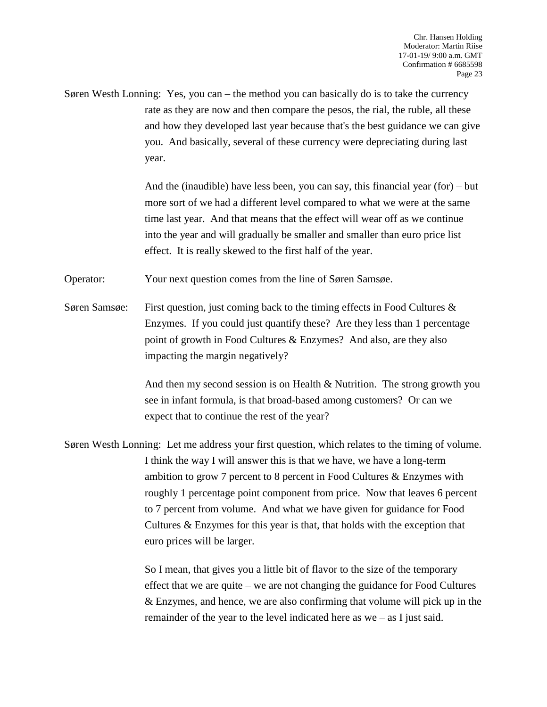Søren Westh Lonning: Yes, you can – the method you can basically do is to take the currency rate as they are now and then compare the pesos, the rial, the ruble, all these and how they developed last year because that's the best guidance we can give you. And basically, several of these currency were depreciating during last year.

> And the (inaudible) have less been, you can say, this financial year (for) – but more sort of we had a different level compared to what we were at the same time last year. And that means that the effect will wear off as we continue into the year and will gradually be smaller and smaller than euro price list effect. It is really skewed to the first half of the year.

Operator: Your next question comes from the line of Søren Samsøe.

Søren Samsøe: First question, just coming back to the timing effects in Food Cultures  $\&$ Enzymes. If you could just quantify these? Are they less than 1 percentage point of growth in Food Cultures & Enzymes? And also, are they also impacting the margin negatively?

> And then my second session is on Health  $\&$  Nutrition. The strong growth you see in infant formula, is that broad-based among customers? Or can we expect that to continue the rest of the year?

Søren Westh Lonning: Let me address your first question, which relates to the timing of volume. I think the way I will answer this is that we have, we have a long-term ambition to grow 7 percent to 8 percent in Food Cultures & Enzymes with roughly 1 percentage point component from price. Now that leaves 6 percent to 7 percent from volume. And what we have given for guidance for Food Cultures & Enzymes for this year is that, that holds with the exception that euro prices will be larger.

> So I mean, that gives you a little bit of flavor to the size of the temporary effect that we are quite – we are not changing the guidance for Food Cultures & Enzymes, and hence, we are also confirming that volume will pick up in the remainder of the year to the level indicated here as we – as I just said.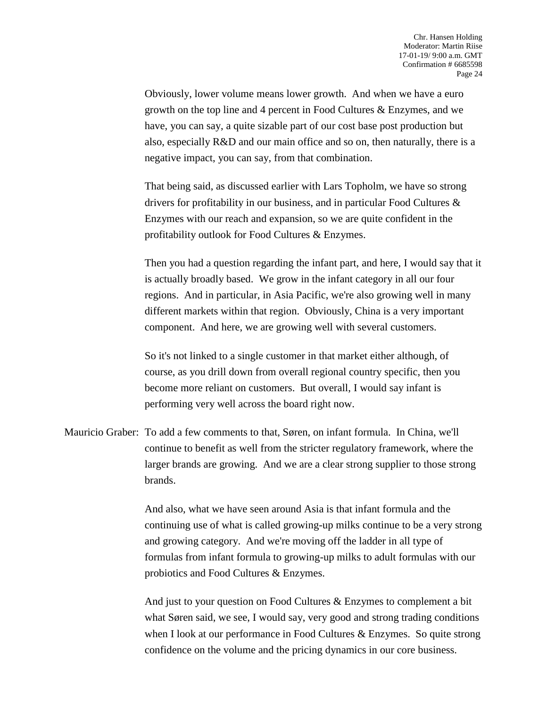Obviously, lower volume means lower growth. And when we have a euro growth on the top line and 4 percent in Food Cultures & Enzymes, and we have, you can say, a quite sizable part of our cost base post production but also, especially R&D and our main office and so on, then naturally, there is a negative impact, you can say, from that combination.

That being said, as discussed earlier with Lars Topholm, we have so strong drivers for profitability in our business, and in particular Food Cultures & Enzymes with our reach and expansion, so we are quite confident in the profitability outlook for Food Cultures & Enzymes.

Then you had a question regarding the infant part, and here, I would say that it is actually broadly based. We grow in the infant category in all our four regions. And in particular, in Asia Pacific, we're also growing well in many different markets within that region. Obviously, China is a very important component. And here, we are growing well with several customers.

So it's not linked to a single customer in that market either although, of course, as you drill down from overall regional country specific, then you become more reliant on customers. But overall, I would say infant is performing very well across the board right now.

Mauricio Graber: To add a few comments to that, Søren, on infant formula. In China, we'll continue to benefit as well from the stricter regulatory framework, where the larger brands are growing. And we are a clear strong supplier to those strong brands.

> And also, what we have seen around Asia is that infant formula and the continuing use of what is called growing-up milks continue to be a very strong and growing category. And we're moving off the ladder in all type of formulas from infant formula to growing-up milks to adult formulas with our probiotics and Food Cultures & Enzymes.

> And just to your question on Food Cultures & Enzymes to complement a bit what Søren said, we see, I would say, very good and strong trading conditions when I look at our performance in Food Cultures & Enzymes. So quite strong confidence on the volume and the pricing dynamics in our core business.